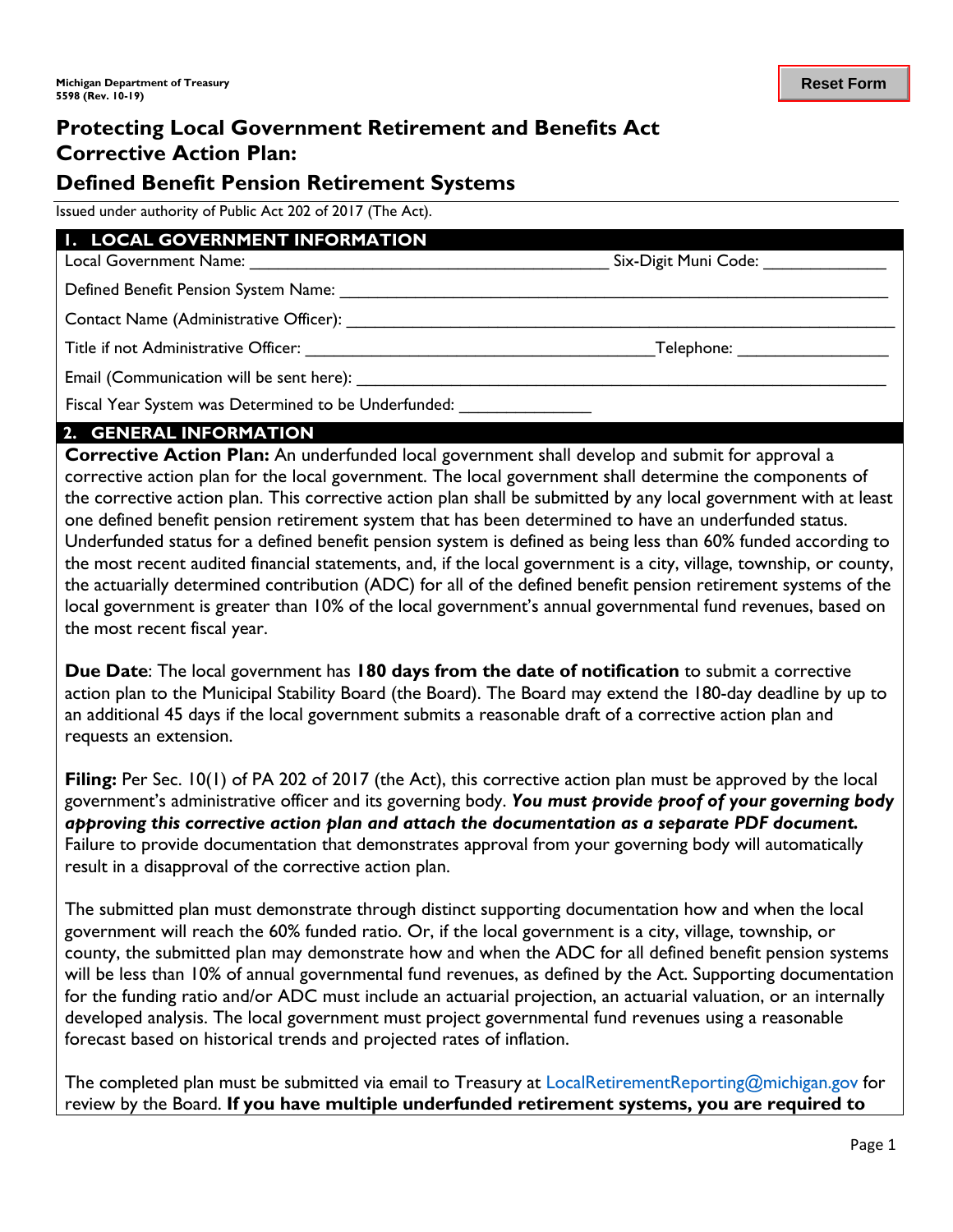# **Protecting Local Government Retirement and Benefits Act Corrective Action Plan:**

## **Defined Benefit Pension Retirement Systems**

Issued under authority of Public Act 202 of 2017 (The Act).

## **1. LOCAL GOVERNMENT INFORMATION**

Local Government Name: \_\_\_\_\_\_\_\_\_\_\_\_\_\_\_\_\_\_\_\_\_\_\_\_\_\_\_\_\_\_\_\_\_\_\_\_\_\_ Six-Digit Muni Code: \_\_\_\_\_\_\_\_\_\_\_\_\_

Defined Benefit Pension System Name: \_

Contact Name (Administrative Officer):

Title if not Administrative Officer: \_\_\_\_\_\_\_\_\_\_\_\_\_\_\_\_\_\_\_\_\_\_\_\_\_\_\_\_\_\_\_\_\_\_\_\_\_Telephone: \_\_\_\_\_\_\_\_\_\_\_\_\_\_\_\_

Email (Communication will be sent here):

Fiscal Year System was Determined to be Underfunded:

## **2. GENERAL INFORMATION**

**Corrective Action Plan:** An underfunded local government shall develop and submit for approval a corrective action plan for the local government. The local government shall determine the components of the corrective action plan. This corrective action plan shall be submitted by any local government with at least one defined benefit pension retirement system that has been determined to have an underfunded status. Underfunded status for a defined benefit pension system is defined as being less than 60% funded according to the most recent audited financial statements, and, if the local government is a city, village, township, or county, the actuarially determined contribution (ADC) for all of the defined benefit pension retirement systems of the local government is greater than 10% of the local government's annual governmental fund revenues, based on the most recent fiscal year.

**Due Date**: The local government has **180 days from the date of notification** to submit a corrective action plan to the Municipal Stability Board (the Board). The Board may extend the 180-day deadline by up to an additional 45 days if the local government submits a reasonable draft of a corrective action plan and requests an extension.

**Filing:** Per Sec. 10(1) of PA 202 of 2017 (the Act), this corrective action plan must be approved by the local government's administrative officer and its governing body. *You must provide proof of your governing body approving this corrective action plan and attach the documentation as a separate PDF document.* Failure to provide documentation that demonstrates approval from your governing body will automatically result in a disapproval of the corrective action plan.

The submitted plan must demonstrate through distinct supporting documentation how and when the local government will reach the 60% funded ratio. Or, if the local government is a city, village, township, or county, the submitted plan may demonstrate how and when the ADC for all defined benefit pension systems will be less than 10% of annual governmental fund revenues, as defined by the Act. Supporting documentation for the funding ratio and/or ADC must include an actuarial projection, an actuarial valuation, or an internally developed analysis. The local government must project governmental fund revenues using a reasonable forecast based on historical trends and projected rates of inflation.

The completed plan must be submitted via email to Treasury at LocalRetirementReporting@michigan.gov for review by the Board. **If you have multiple underfunded retirement systems, you are required to**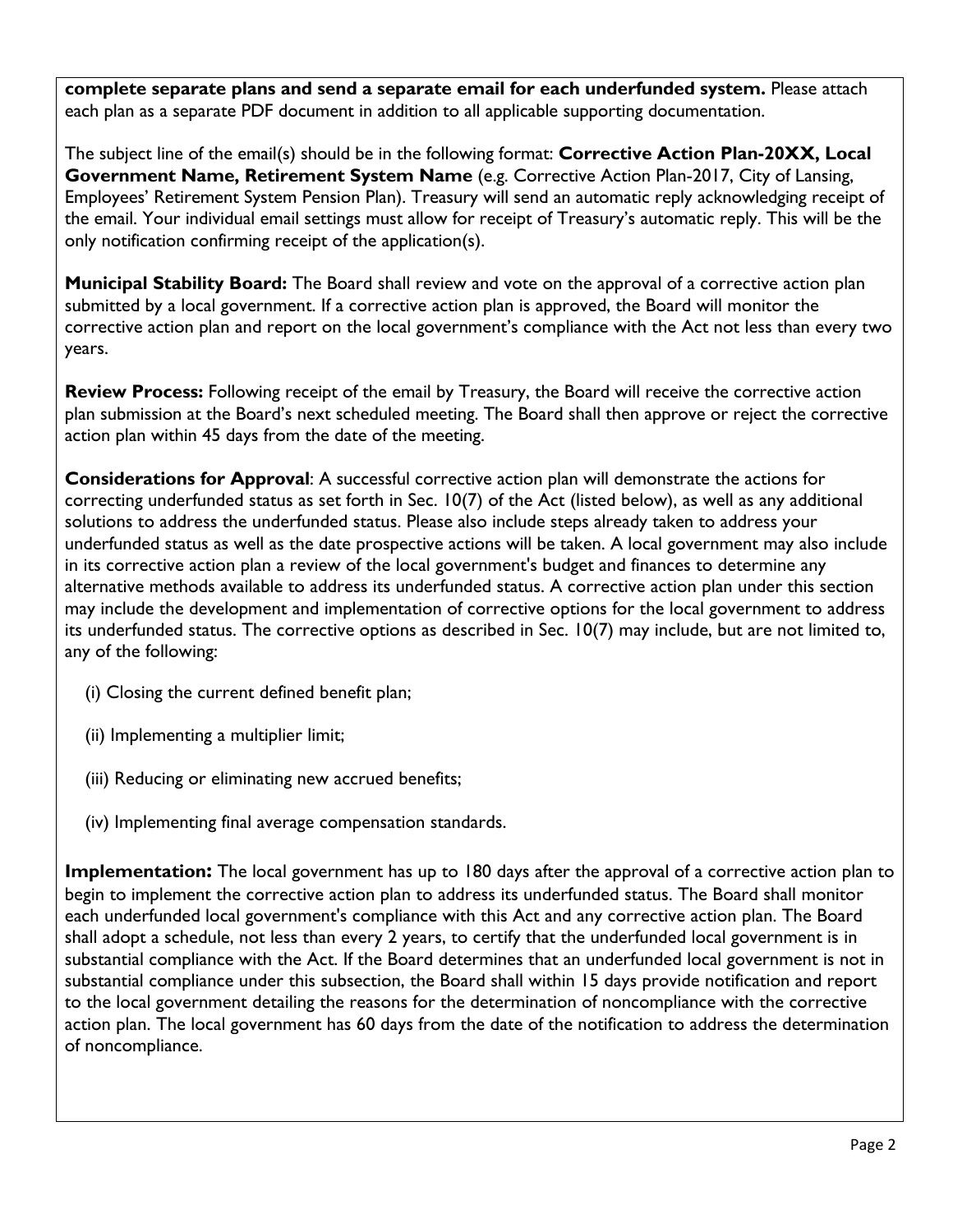**complete separate plans and send a separate email for each underfunded system.** Please attach each plan as a separate PDF document in addition to all applicable supporting documentation.

The subject line of the email(s) should be in the following format: **Corrective Action Plan-20XX, Local Government Name, Retirement System Name** (e.g. Corrective Action Plan-2017, City of Lansing, Employees' Retirement System Pension Plan). Treasury will send an automatic reply acknowledging receipt of the email. Your individual email settings must allow for receipt of Treasury's automatic reply. This will be the only notification confirming receipt of the application(s).

**Municipal Stability Board:** The Board shall review and vote on the approval of a corrective action plan submitted by a local government. If a corrective action plan is approved, the Board will monitor the corrective action plan and report on the local government's compliance with the Act not less than every two years.

**Review Process:** Following receipt of the email by Treasury, the Board will receive the corrective action plan submission at the Board's next scheduled meeting. The Board shall then approve or reject the corrective action plan within 45 days from the date of the meeting.

**Considerations for Approval**: A successful corrective action plan will demonstrate the actions for correcting underfunded status as set forth in Sec. 10(7) of the Act (listed below), as well as any additional solutions to address the underfunded status. Please also include steps already taken to address your underfunded status as well as the date prospective actions will be taken. A local government may also include in its corrective action plan a review of the local government's budget and finances to determine any alternative methods available to address its underfunded status. A corrective action plan under this section may include the development and implementation of corrective options for the local government to address its underfunded status. The corrective options as described in Sec. 10(7) may include, but are not limited to, any of the following:

- (i) Closing the current defined benefit plan;
- (ii) Implementing a multiplier limit;
- (iii) Reducing or eliminating new accrued benefits;
- (iv) Implementing final average compensation standards.

**Implementation:** The local government has up to 180 days after the approval of a corrective action plan to begin to implement the corrective action plan to address its underfunded status. The Board shall monitor each underfunded local government's compliance with this Act and any corrective action plan. The Board shall adopt a schedule, not less than every 2 years, to certify that the underfunded local government is in substantial compliance with the Act. If the Board determines that an underfunded local government is not in substantial compliance under this subsection, the Board shall within 15 days provide notification and report to the local government detailing the reasons for the determination of noncompliance with the corrective action plan. The local government has 60 days from the date of the notification to address the determination of noncompliance.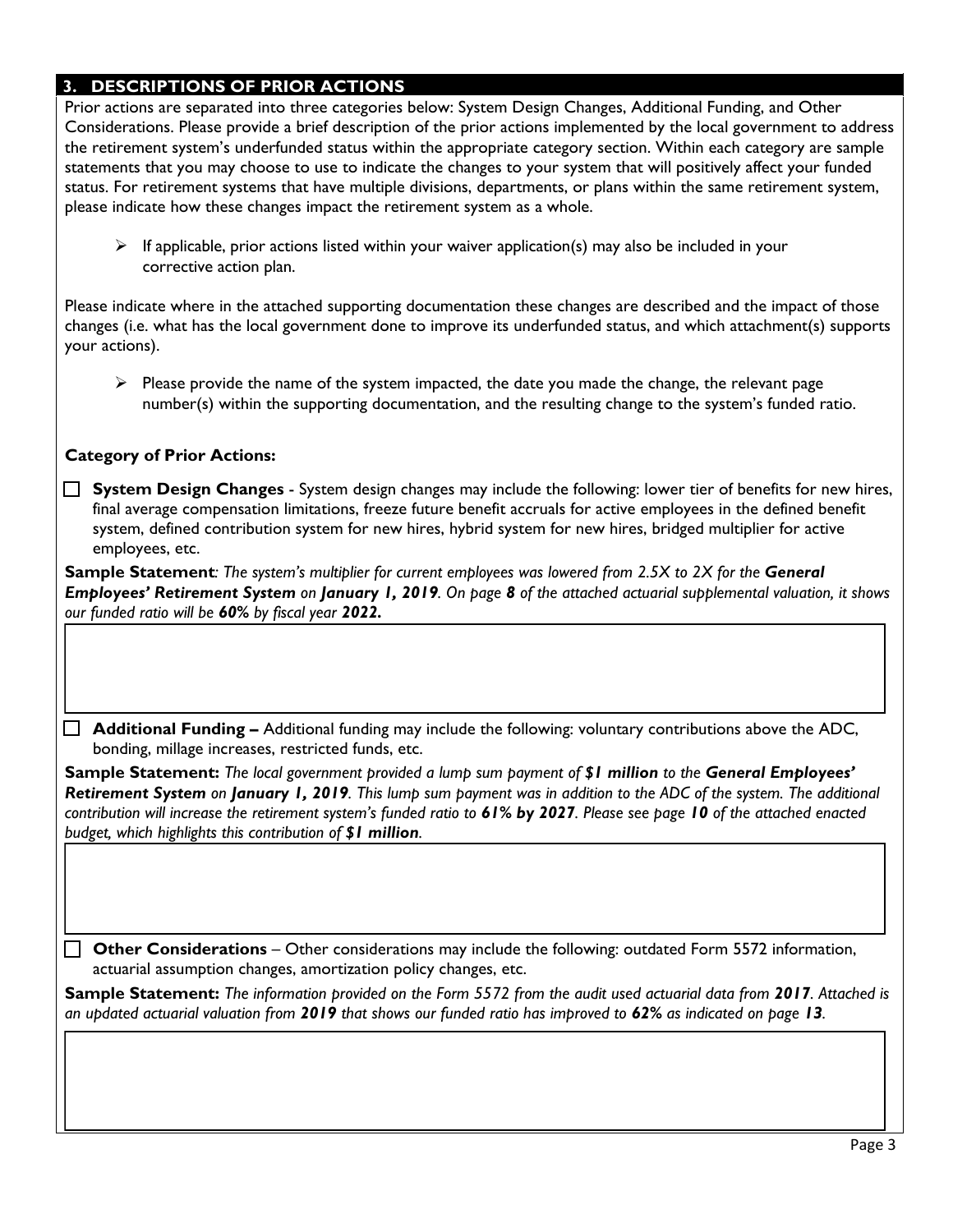#### **3. DESCRIPTIONS OF PRIOR ACTIONS**

Prior actions are separated into three categories below: System Design Changes, Additional Funding, and Other Considerations. Please provide a brief description of the prior actions implemented by the local government to address the retirement system's underfunded status within the appropriate category section. Within each category are sample statements that you may choose to use to indicate the changes to your system that will positively affect your funded status. For retirement systems that have multiple divisions, departments, or plans within the same retirement system, please indicate how these changes impact the retirement system as a whole.

 $\triangleright$  If applicable, prior actions listed within your waiver application(s) may also be included in your corrective action plan.

Please indicate where in the attached supporting documentation these changes are described and the impact of those changes (i.e. what has the local government done to improve its underfunded status, and which attachment(s) supports your actions).

 $\triangleright$  Please provide the name of the system impacted, the date you made the change, the relevant page number(s) within the supporting documentation, and the resulting change to the system's funded ratio.

## **Category of Prior Actions:**

**<Insert User Entry Box>**

<**Insert User Entry Box**>

<**Insert User Entry Box**>

 **System Design Changes** - System design changes may include the following: lower tier of benefits for new hires, final average compensation limitations, freeze future benefit accruals for active employees in the defined benefit system, defined contribution system for new hires, hybrid system for new hires, bridged multiplier for active employees, etc.

**Sample Statement**: The system's multiplier for current employees was lowered from 2.5X to 2X for the General *Employees' Retirement System on January 1, 2019. On page 8 of the attached actuarial supplemental valuation, it shows our funded ratio will be 60% by fiscal year 2022.* 

 **Additional Funding –** Additional funding may include the following: voluntary contributions above the ADC, bonding, millage increases, restricted funds, etc.

**Sample Statement:** *The local government provided a lump sum payment of \$1 million to the General Employees' Retirement System on January 1, 2019. This lump sum payment was in addition to the ADC of the system. The additional contribution will increase the retirement system's funded ratio to 61% by 2027. Please see page 10 of the attached enacted budget, which highlights this contribution of \$1 million.*

 **Other Considerations** – Other considerations may include the following: outdated Form 5572 information, actuarial assumption changes, amortization policy changes, etc.

**Sample Statement:** *The information provided on the Form 5572 from the audit used actuarial data from 2017. Attached is an updated actuarial valuation from 2019 that shows our funded ratio has improved to 62% as indicated on page 13.*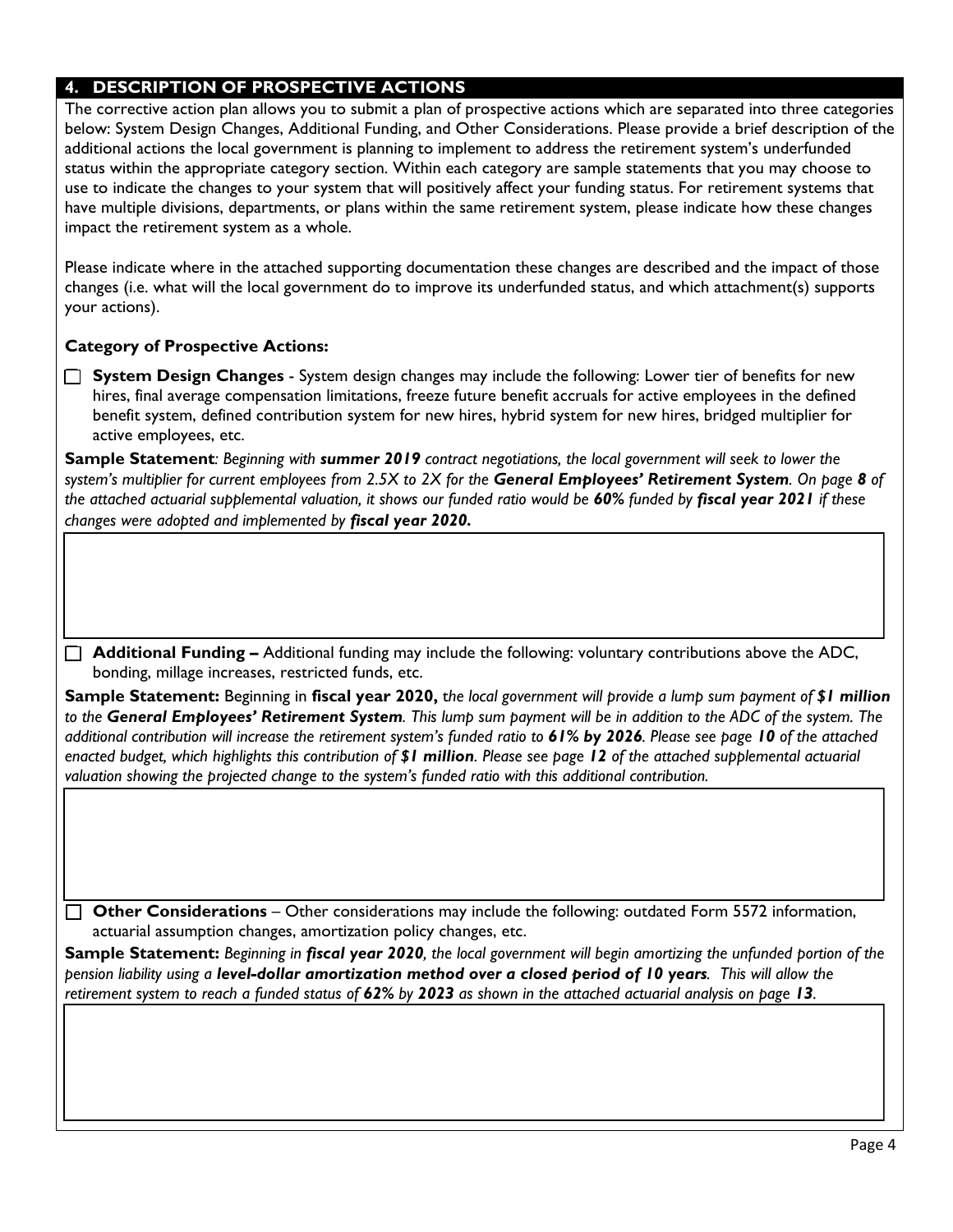## **4. DESCRIPTION OF PROSPECTIVE ACTIONS**

The corrective action plan allows you to submit a plan of prospective actions which are separated into three categories below: System Design Changes, Additional Funding, and Other Considerations. Please provide a brief description of the additional actions the local government is planning to implement to address the retirement system's underfunded status within the appropriate category section. Within each category are sample statements that you may choose to use to indicate the changes to your system that will positively affect your funding status. For retirement systems that have multiple divisions, departments, or plans within the same retirement system, please indicate how these changes impact the retirement system as a whole.

Please indicate where in the attached supporting documentation these changes are described and the impact of those changes (i.e. what will the local government do to improve its underfunded status, and which attachment(s) supports your actions).

#### **Category of Prospective Actions:**

**System Design Changes** - System design changes may include the following: Lower tier of benefits for new hires, final average compensation limitations, freeze future benefit accruals for active employees in the defined benefit system, defined contribution system for new hires, hybrid system for new hires, bridged multiplier for active employees, etc.

**Sample Statement***: Beginning with summer 2019 contract negotiations, the local government will seek to lower the system's multiplier for current employees from 2.5X to 2X for the General Employees' Retirement System. On page 8 of the attached actuarial supplemental valuation, it shows our funded ratio would be 60% funded by fiscal year 2021 if these changes were adopted and implemented by fiscal year 2020.* 

 **Additional Funding –** Additional funding may include the following: voluntary contributions above the ADC, bonding, millage increases, restricted funds, etc.

**Sample Statement:** Beginning in **fiscal year 2020,** t*he local government will provide a lump sum payment of \$1 million to the General Employees' Retirement System. This lump sum payment will be in addition to the ADC of the system. The additional contribution will increase the retirement system's funded ratio to 61% by 2026. Please see page 10 of the attached enacted budget, which highlights this contribution of \$1 million. Please see page 12 of the attached supplemental actuarial valuation showing the projected change to the system's funded ratio with this additional contribution.* 

 **Other Considerations** – Other considerations may include the following: outdated Form 5572 information, actuarial assumption changes, amortization policy changes, etc.

**Sample Statement:** *Beginning in fiscal year 2020, the local government will begin amortizing the unfunded portion of the pension liability using a level-dollar amortization method over a closed period of 10 years. This will allow the retirement system to reach a funded status of 62% by 2023 as shown in the attached actuarial analysis on page 13.*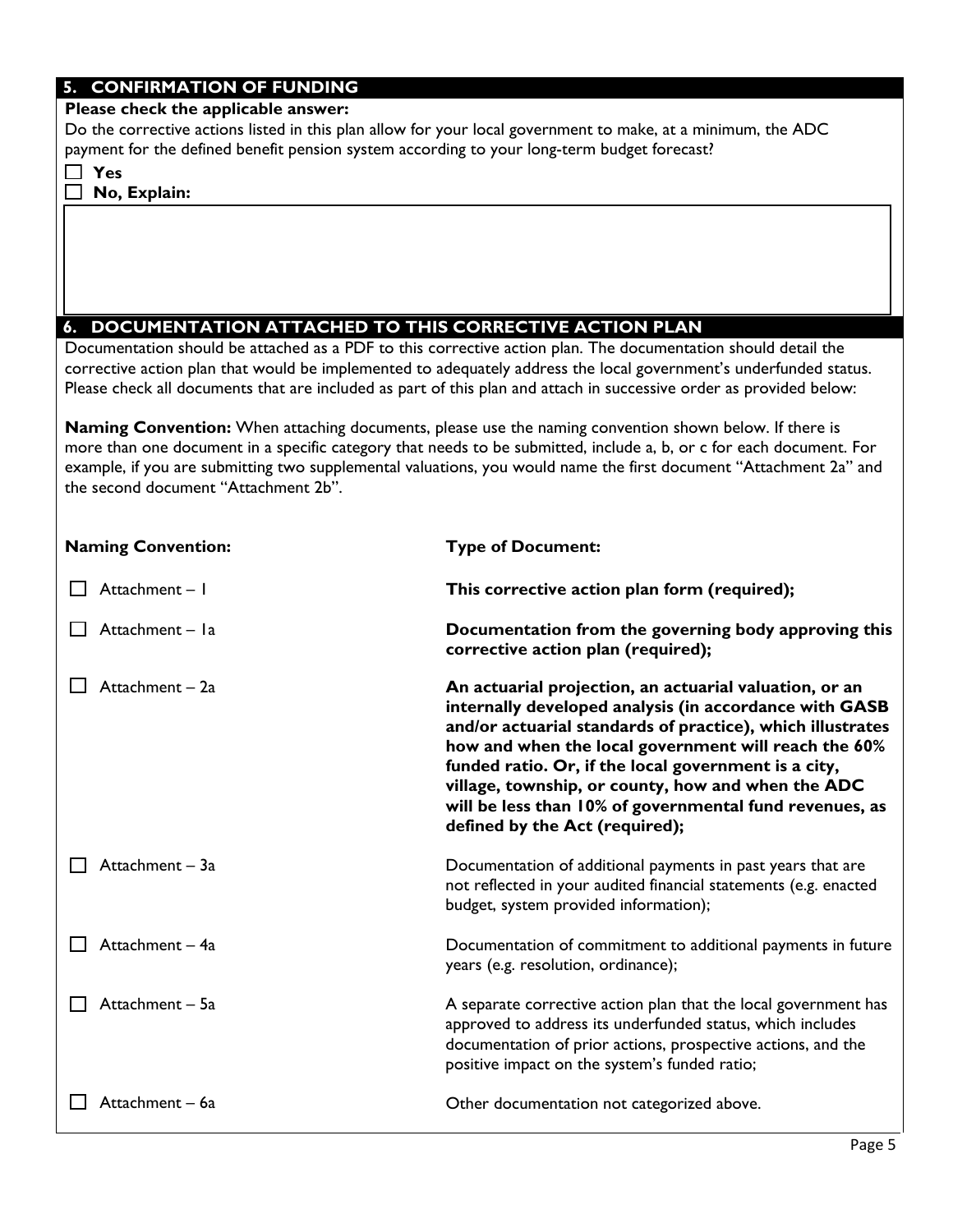## **5. CONFIRMATION OF FUNDING**

#### **Please check the applicable answer:**

Do the corrective actions listed in this plan allow for your local government to make, at a minimum, the ADC payment for the defined benefit pension system according to your long-term budget forecast?

| ۰.<br>۰. |  |
|----------|--|
|          |  |

**No, Explain:**

## **6. DOCUMENTATION ATTACHED TO THIS CORRECTIVE ACTION PLAN**

Documentation should be attached as a PDF to this corrective action plan. The documentation should detail the corrective action plan that would be implemented to adequately address the local government's underfunded status. Please check all documents that are included as part of this plan and attach in successive order as provided below:

**Naming Convention:** When attaching documents, please use the naming convention shown below. If there is more than one document in a specific category that needs to be submitted, include a, b, or c for each document. For example, if you are submitting two supplemental valuations, you would name the first document "Attachment 2a" and the second document "Attachment 2b".

| <b>Naming Convention:</b> | <b>Type of Document:</b>                                                                                                                                                                                                                                                                                                                                                                                                                          |
|---------------------------|---------------------------------------------------------------------------------------------------------------------------------------------------------------------------------------------------------------------------------------------------------------------------------------------------------------------------------------------------------------------------------------------------------------------------------------------------|
| Attachment - I            | This corrective action plan form (required);                                                                                                                                                                                                                                                                                                                                                                                                      |
| Attachment - la           | Documentation from the governing body approving this<br>corrective action plan (required);                                                                                                                                                                                                                                                                                                                                                        |
| Attachment - 2a           | An actuarial projection, an actuarial valuation, or an<br>internally developed analysis (in accordance with GASB<br>and/or actuarial standards of practice), which illustrates<br>how and when the local government will reach the 60%<br>funded ratio. Or, if the local government is a city,<br>village, township, or county, how and when the ADC<br>will be less than 10% of governmental fund revenues, as<br>defined by the Act (required); |
| Attachment - 3a           | Documentation of additional payments in past years that are<br>not reflected in your audited financial statements (e.g. enacted<br>budget, system provided information);                                                                                                                                                                                                                                                                          |
| Attachment - 4a           | Documentation of commitment to additional payments in future<br>years (e.g. resolution, ordinance);                                                                                                                                                                                                                                                                                                                                               |
| Attachment - 5a           | A separate corrective action plan that the local government has<br>approved to address its underfunded status, which includes<br>documentation of prior actions, prospective actions, and the<br>positive impact on the system's funded ratio;                                                                                                                                                                                                    |
| Attachment - 6a           | Other documentation not categorized above.                                                                                                                                                                                                                                                                                                                                                                                                        |